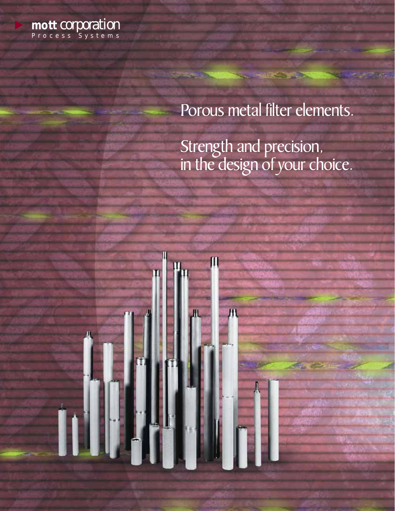

# Porous metal filter elements.

Strength and precision, in the design of your choice.

Л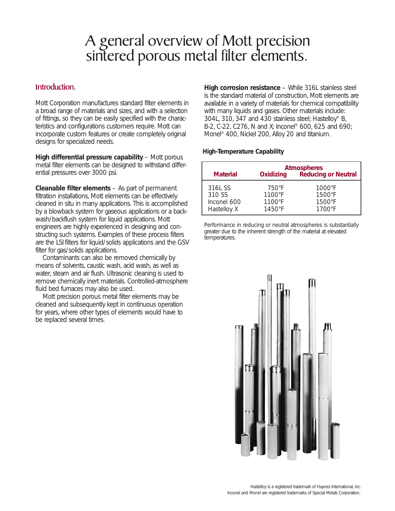# A general overview of Mott precision sintered porous metal filter elements.

## Introduction.

Mott Corporation manufactures standard filter elements in a broad range of materials and sizes, and with a selection of fittings, so they can be easily specified with the characteristics and configurations customers require. Mott can incorporate custom features or create completely original designs for specialized needs.

**High differential pressure capability** – Mott porous metal filter elements can be designed to withstand differential pressures over 3000 psi.

**Cleanable filter elements** – As part of permanent filtration installations, Mott elements can be effectively cleaned *in situ* in many applications. This is accomplished by a blowback system for gaseous applications or a backwash/backflush system for liquid applications. Mott engineers are highly experienced in designing and constructing such systems. Examples of these process filters are the LSI filters for liquid/solids applications and the GSV filter for gas/solids applications.

Contaminants can also be removed chemically by means of solvents, caustic wash, acid wash, as well as water, steam and air flush. Ultrasonic cleaning is used to remove chemically inert materials. Controlled-atmosphere fluid bed furnaces may also be used.

Mott precision porous metal filter elements may be cleaned and subsequently kept in continuous operation for years, where other types of elements would have to be replaced several times.

**High corrosion resistance** – While 316L stainless steel is the standard material of construction, Mott elements are available in a variety of materials for chemical compatibility with many liquids and gases. Other materials include: 304L, 310, 347 and 430 stainless steel; Hastelloy® B, B-2, C-22, C276, N and X; Inconel® 600, 625 and 690; Monel® 400, Nickel 200, Alloy 20 and titanium.

#### **High-Temperature Capability**

| <b>Material</b> | <b>Oxidizing</b> | <b>Atmospheres</b><br><b>Reducing or Neutral</b> |
|-----------------|------------------|--------------------------------------------------|
| 316L SS         | 750°F            | $1000\textdegree F$                              |
| 310 SS          | 1100°F           | 1500°F                                           |
| Inconel 600     | $1100^{\circ}F$  | 1500°F                                           |
| Hastelloy X     | $1450^{\circ}F$  | $1700^{\circ}$ F                                 |

Performance in reducing or neutral atmospheres is substantially greater due to the inherent strength of the material at elevated temperatures.

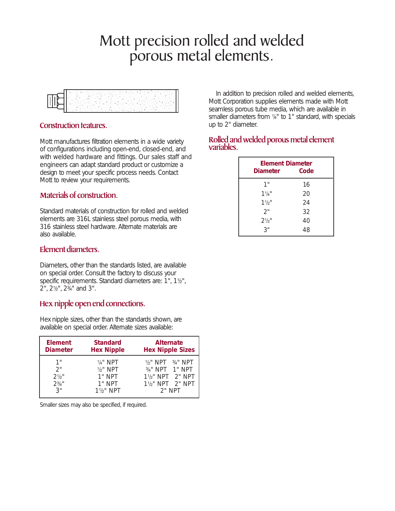# Mott precision rolled and welded porous metal elements.



## Construction features.

Mott manufactures filtration elements in a wide variety of configurations including open-end, closed-end, and with welded hardware and fittings. Our sales staff and engineers can adapt standard product or customize a design to meet your specific process needs. Contact Mott to review your requirements.

# Materials of construction.

Standard materials of construction for rolled and welded elements are 316L stainless steel porous media, with 316 stainless steel hardware. Alternate materials are also available.

# Element diameters.

Diameters, other than the standards listed, are available on special order. Consult the factory to discuss your specific requirements. Standard diameters are: 1", 1½", 2", 21/<sub>2</sub>", 2<sup>3</sup>/<sub>4</sub>" and 3".

# Hex nipple open end connections.

Hex nipple sizes, other than the standards shown, are available on special order. Alternate sizes available:

| <b>Element</b>  | <b>Standard</b>      | <b>Alternate</b>                           |
|-----------------|----------------------|--------------------------------------------|
| <b>Diameter</b> | <b>Hex Nipple</b>    | <b>Hex Nipple Sizes</b>                    |
| 1"              | 1/4" NPT             | $1/2$ " NPT $3/4$ " NPT                    |
| 2"              | $1/2$ " NPT          | $3/4$ " NPT 1" NPT                         |
| $2^{1/2}$ "     | $1"$ NPT             | 1 <sup>1</sup> / <sub>2</sub> " NPT 2" NPT |
| $2^{3/4}$ "     | $1"$ NPT             | 11/2" NPT 2" NPT                           |
| 3"              | $1\frac{1}{2}$ " NPT | $2"$ NPT                                   |

Smaller sizes may also be specified, if required.

In addition to precision rolled and welded elements, Mott Corporation supplies elements made with Mott seamless porous tube media, which are available in smaller diameters from 1/4" to 1" standard, with specials up to 2" diameter.

## Rolled and welded porous metal element variables.

| <b>Element Diameter</b><br><b>Diameter</b> | Code |  |
|--------------------------------------------|------|--|
| 1"                                         | 16   |  |
| $11/4$ "                                   | 20   |  |
| $11/2$ "                                   | 24   |  |
| 2"                                         | 32   |  |
| $2^{1/2}$ "                                | 40   |  |
| 3"                                         | 48   |  |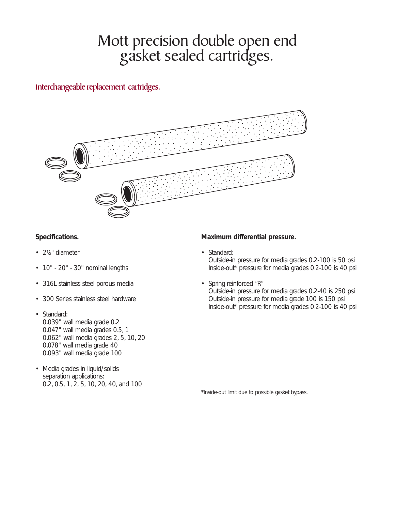# Mott precision double open end gasket sealed cartridges.

# Interchangeable replacement cartridges.



### **Specifications.**

- 21/<sub>2</sub>" diameter
- 10" 20" 30" nominal lengths
- 316L stainless steel porous media
- 300 Series stainless steel hardware
- Standard: 0.039" wall media grade 0.2 0.047" wall media grades 0.5, 1 0.062" wall media grades 2, 5, 10, 20 0.078" wall media grade 40 0.093" wall media grade 100
- Media grades in liquid/solids separation applications: 0.2, 0.5, 1, 2, 5, 10, 20, 40, and 100

### **Maximum differential pressure.**

- Standard: Outside-in pressure for media grades 0.2-100 is 50 psi Inside-out\* pressure for media grades 0.2-100 is 40 psi
- Spring reinforced "R" Outside-in pressure for media grades 0.2-40 is 250 psi Outside-in pressure for media grade 100 is 150 psi Inside-out\* pressure for media grades 0.2-100 is 40 psi

\*Inside-out limit due to possible gasket bypass.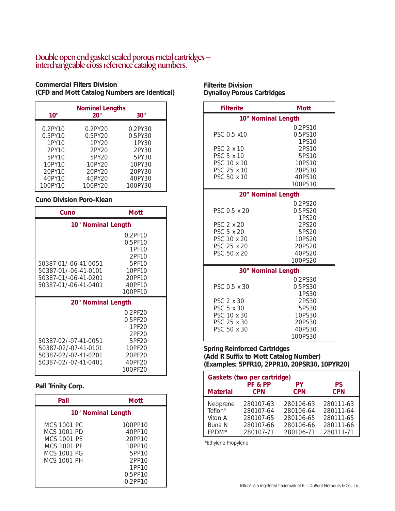## Double open end gasket sealed porous metal cartridges – interchangeable cross reference catalog numbers.

#### **Commercial Filters Division (CFD and Mott Catalog Numbers are Identical)**

| 10"        | <b>Nominal Lengths</b><br>20" | 30"     |
|------------|-------------------------------|---------|
| $0.2$ PY10 | 0.2PY20                       | 0.2PY30 |
| $0.5$ PY10 | 0.5PY20                       | 0.5PY30 |
| 1PY10      | 1PV20                         | 1PY30   |
| 2PY10      | $2$ PY $20$                   | 2PY30   |
| 5PY10      | 5PY20                         | 5PY30   |
| 10PY10     | 10PY20                        | 10PY30  |
| 20PY10     | 20PY20                        | 20PY30  |
| 40PY10     | 40PY20                        | 40PY30  |
| 100PY10    | 100PY20                       | 100PY30 |

#### **Cuno Division Poro-Klean**

| Cuno                                                                                         | Mott                                                                                      |  |
|----------------------------------------------------------------------------------------------|-------------------------------------------------------------------------------------------|--|
| 10" Nominal Length                                                                           |                                                                                           |  |
| 50387-01/-06-41-0051<br>50387-01/-06-41-0101<br>50387-01/-06-41-0201<br>50387-01/-06-41-0401 | 0.2PF10<br>$0.5$ PF10<br>1PF10<br>2PF10<br>5PF10<br>10PF10<br>20PF10<br>40PF10<br>100PF10 |  |
| 20" Nominal Length                                                                           |                                                                                           |  |
| 50387-02/-07-41-0051<br>50387-02/-07-41-0101<br>50387-02/-07-41-0201<br>50387-02/-07-41-0401 | 0.2PF20<br>0.5PF20<br>1PF20<br>2PF20<br>5PF20<br>10PF20<br>20PF20<br>40PF20<br>100PF20    |  |

#### **Pall Trinity Corp.**

| Pall                                                                                                 | Mott                                                                                   |
|------------------------------------------------------------------------------------------------------|----------------------------------------------------------------------------------------|
| 10" Nominal Length                                                                                   |                                                                                        |
| MCS 1001 PC<br>MCS 1001 PD<br>MCS 1001 PF<br><b>MCS 1001 PF</b><br>MCS 1001 PG<br><b>MCS 1001 PH</b> | 100PP10<br>40PP10<br>20PP10<br>10PP10<br>5PP10<br>2PP10<br>1PP10<br>0.5PP10<br>0.2PP10 |

## **Filterite Division Dynalloy Porous Cartridges**

| <b>Filterite</b>                        | <b>Mott</b>                 |
|-----------------------------------------|-----------------------------|
|                                         | 10" Nominal Length          |
| PSC 0.5 x10                             | 0.2PS10<br>0.5PS10<br>1PS10 |
| PSC 2 x 10<br>PSC 5 x 10<br>PSC 10 x 10 | 2PS10<br>5PS10<br>10PS10    |
| PSC 25 x 10<br>PSC 50 x 10              | 20PS10<br>40PS10<br>100PS10 |
|                                         | 20" Nominal Length          |
| PSC 0.5 x 20                            | 0.2PS20<br>0.5PS20<br>1PS20 |
| PSC 2 x 20<br>PSC 5 x 20<br>PSC 10 x 20 | 2PS20<br>5PS20<br>10PS20    |
| PSC 25 x 20<br>PSC 50 x 20              | 20PS20<br>40PS20<br>100PS20 |
|                                         | 30" Nominal Length          |
| PSC 0.5 x 30                            | 0.2PS30<br>0.5PS30<br>1PS30 |
| PSC 2 x 30<br>PSC 5 x 30<br>PSC 10 x 30 | 2PS30<br>5PS30<br>10PS30    |
| PSC 25 x 30<br>PSC 50 x 30              | 20PS30<br>40PS30<br>100PS30 |

#### **Spring Reinforced Cartridges (Add R Suffix to Mott Catalog Number) (Examples: 5PFR10, 2PPR10, 20PSR30, 10PYR20)**

| Gaskets (two per cartridge) |            |            |            |  |  |
|-----------------------------|------------|------------|------------|--|--|
| <b>Material</b>             | PF & PP    | PΥ         | <b>PS</b>  |  |  |
|                             | <b>CPN</b> | <b>CPN</b> | <b>CPN</b> |  |  |
| Neoprene                    | 280107-63  | 280106-63  | 280111-63  |  |  |
| $Teflon^*$                  | 280107-64  | 280106-64  | 280111-64  |  |  |
| Viton A                     | 280107-65  | 280106-65  | 280111-65  |  |  |
| Buna N                      | 280107-66  | 280106-66  | 280111-66  |  |  |
| FPDM*                       | 280107-71  | 280106-71  | 280111-71  |  |  |

\*Ethylene Propylene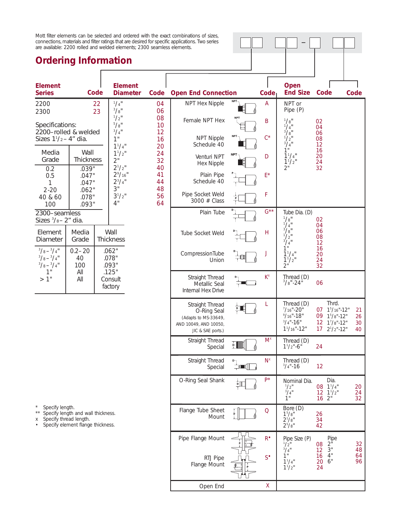Mott filter elements can be selected and ordered with the exact combinations of sizes, connections, materials and filter ratings that are desired for specific applications. Two series are available: 2200 rolled and welded elements; 2300 seamless elements.

# **Ordering Information**

| <u>oraonny monination</u>                                          |                                                                                                   |          |                                                            |                      |                                                                                                      |               |                                                     |                                                                                                           |                                                                                            |                      |
|--------------------------------------------------------------------|---------------------------------------------------------------------------------------------------|----------|------------------------------------------------------------|----------------------|------------------------------------------------------------------------------------------------------|---------------|-----------------------------------------------------|-----------------------------------------------------------------------------------------------------------|--------------------------------------------------------------------------------------------|----------------------|
| <b>Element</b><br><b>Series</b>                                    |                                                                                                   | Code     | <b>Element</b><br><b>Diameter</b>                          | Code                 | <b>Open End Connection</b>                                                                           |               | Code                                                | Open<br><b>End Size</b>                                                                                   | Code                                                                                       | Code                 |
| 2200<br>2300                                                       |                                                                                                   | 22<br>23 | $^{1}/_{4}$ "<br>3/8"                                      | 04<br>06             | NPT Hex Nipple                                                                                       |               | A                                                   | NPT or<br>Pipe (P)                                                                                        |                                                                                            |                      |
| Specifications:<br>2200-rolled & welded<br>Sizes $11/2 - 4''$ dia. |                                                                                                   |          | $\frac{1}{2}$ "<br>$^{5}/\mathrm{g}^{11}$<br>$3/4$ "<br>1" | 08<br>10<br>12<br>16 | Female NPT Hex<br><b>NPT Nipple</b>                                                                  |               | B<br>$C^*$                                          | $^{1}/\mathrm{g}^{1}$<br>$^{1}/_{4}$ "<br>$^{3}/_{8}$ "<br>$^{1}/_{2}$ "                                  | 02<br>04<br>06<br>08                                                                       |                      |
| Media<br>Grade                                                     | Wall<br><b>Thickness</b>                                                                          |          | $1^{1}/4$ "<br>$1^{1}/2$ "<br>2"                           | 20<br>24<br>32       | Schedule 40<br>Venturi NPT                                                                           | <b>NPT</b>    | D                                                   | $\frac{3}{4}$ <sup>1</sup><br>1"<br>$1^{1}/4$ "                                                           | 12<br>16<br>20                                                                             |                      |
| 0.2<br>0.5<br>1                                                    | .039"<br>.047"<br>.047"                                                                           |          | $2^{1}/2$ "<br>$2^9/16"$<br>$2^{3}/4"$                     | 40<br>41<br>44       | <b>Hex Nipple</b><br>Plain Pipe<br>Schedule 40                                                       |               | $\mathsf{E}^{\star}$                                | $1^{1}/2$ "<br>$2^{\degree}$                                                                              | 24<br>32                                                                                   |                      |
| $2 - 20$<br>40 & 60<br>100                                         | .062"<br>.078"<br>.093"                                                                           |          | 3"<br>$3^{1}/2$ "<br>4"                                    | 48<br>56<br>64       | Pipe Socket Weld<br>3000 # Class                                                                     |               | F                                                   |                                                                                                           |                                                                                            |                      |
| 2300-seamless<br>Sizes $\frac{3}{8}$ -2" dia.                      |                                                                                                   |          |                                                            |                      | Plain Tube                                                                                           |               | $G^{\star\star}$                                    | Tube Dia. (D)<br>$^{1}/\mathrm{g}^{1}$                                                                    | 02                                                                                         |                      |
| Element<br>Diameter                                                | Media<br>Grade                                                                                    |          | Wall<br><b>Thickness</b>                                   |                      | Tube Socket Weld                                                                                     |               | $\overline{H}$                                      | $\frac{1}{4}$ <sup>1</sup><br>$^{3}/_{8}$ "<br>$^{1}/_{2}$ "<br>$^{3}/_{4}$ "                             | 04<br>06<br>08<br>12                                                                       |                      |
| $3/8 - 3/4$ "<br>$3/8 - 3/4$ "<br>$3/8 - 3/4$ "                    | $0.2 - 20$<br>40<br>100                                                                           |          | .062"<br>.078"<br>.093"                                    |                      | CompressionTube<br>Union                                                                             |               | J                                                   | 1"<br>$1^{1}/4$ "<br>$1^{1}/2$ "<br>2"                                                                    | 16<br>20<br>24<br>32                                                                       |                      |
| 1"<br>>1"                                                          | All<br>All                                                                                        |          | .125"<br>Consult<br>factory                                |                      | Straight Thread<br>Metallic Seal<br>Internal Hex Drive                                               |               | $\mathsf{K}^{\mathsf{x}}$                           | Thread (D)<br>$\frac{3}{8}$ "-24"                                                                         | 06                                                                                         |                      |
|                                                                    |                                                                                                   |          |                                                            |                      | Straight Thread<br>O-Ring Seal<br>(Adapts to MS-33649,<br>AND 10049, AND 10050,<br>JIC & SAE ports.) | ᄒ<br>며        | L                                                   | Thread (D)<br>$\frac{7}{16}$ "-20 <sup>i</sup> "<br>$\frac{9}{16}$ "-18"<br>$3/4$ "-16"<br>$11/16" - 12"$ | Thrd.<br>$15/16" - 12"$<br>07<br>09<br>$15/8" - 12"$<br>12 17/8"-12"<br>$17 \t21/21 - 121$ | 21<br>26<br>30<br>40 |
|                                                                    |                                                                                                   |          |                                                            |                      | Straight Thread<br>Special                                                                           | $\frac{1}{2}$ | $M^x$                                               | Thread (D)<br>$1^{1}/2$ "-6"                                                                              | 24                                                                                         |                      |
|                                                                    |                                                                                                   |          |                                                            |                      | Straight Thread<br>Special                                                                           | ≑ा∎∏          | $N^x$                                               | Thread (D)<br>$3/4 - 16$                                                                                  | 12                                                                                         |                      |
|                                                                    |                                                                                                   |          |                                                            |                      | O-Ring Seal Shank                                                                                    |               | $P^*$                                               | Nominal Dia.<br>$^{1}/2$ "<br>$^{3}/4$ "<br>1"                                                            | Dia.<br>08<br>$1^{1}/4$ "<br>12<br>$1^{1}/2$ "<br>2"<br>16                                 | 20<br>24<br>32       |
| Specify length.<br>$\star\,\star$<br>Χ                             | Specify length and wall thickness.<br>Specify thread length.<br>Specify element flange thickness. |          |                                                            |                      | Flange Tube Sheet<br>Mount                                                                           |               | $\overline{O}$                                      | Bore (D)<br>1 <sup>5</sup> /8''<br>$2^{1}/8$ "<br>$2^{5}/8"$                                              | 26<br>34<br>42                                                                             |                      |
|                                                                    |                                                                                                   |          |                                                            |                      | Pipe Flange Mount                                                                                    |               | $R^{\bullet}$                                       | Pipe Size (P)<br>$\frac{1}{2}$ "<br>3/4"                                                                  | Pipe<br>$2^{\mathsf{h}}$<br>08<br>3"<br>12                                                 | 32<br>48             |
|                                                                    |                                                                                                   |          |                                                            |                      | RTJ Pipe<br>Flange Mount                                                                             |               | $S^{\bullet}$                                       | 1"<br>$1^{1}/4"$<br>$1^{1}/2$ "                                                                           | 4"<br>16<br>6"<br>20<br>24                                                                 | 64<br>96             |
|                                                                    |                                                                                                   |          |                                                            |                      | Open End                                                                                             |               | $\mathsf{X}% _{0}^{\prime}=\mathsf{X}_{0}^{\prime}$ |                                                                                                           |                                                                                            |                      |

**—**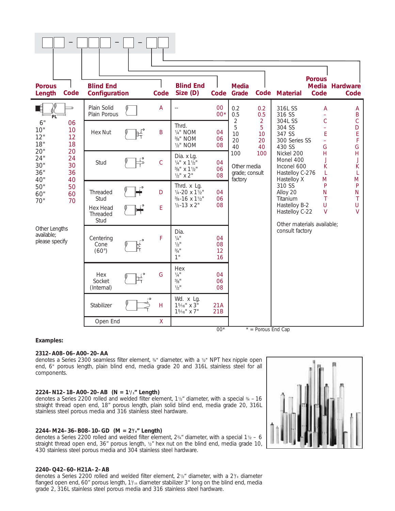

#### **Examples:**

#### **2312–A08–06–A00–20–AA**

denotes a Series 2300 seamless filter element, 34" diameter, with a 1/<sub>2</sub>" NPT hex nipple open end, 6" porous length, plain blind end, media grade 20 and 316L stainless steel for all components.

#### **2224–N12–18–A00–20–AB (N = 11 /2" Length)**

denotes a Series 2200 rolled and welded filter element,  $1\frac{1}{2}$ " diameter, with a special  $\frac{3}{4}$  – 16 straight thread open end, 18" porous length, plain solid blind end, media grade 20, 316L stainless steel porous media and 316 stainless steel hardware.

#### **2244–M24–36–B08–10–GD (M = 25 /8" Length)**

denotes a Series 2200 rolled and welded filter element,  $2\frac{3}{4}$ " diameter, with a special 1<sup>1</sup>/<sub>2</sub> – 6 straight thread open end, 36" porous length, 1/2" hex nut on the blind end, media grade 10, 430 stainless steel porous media and 304 stainless steel hardware.

#### **2240–Q42–60–H21A–2–AB**

denotes a Series 2200 rolled and welded filter element, 2½<sup>™</sup> diameter, with a 2<sup>5</sup>/<sub>®</sub> diameter flanged open end, 60" porous length, 1%<sub>16</sub> diameter stabilizer 3" long on the blind end, media grade 2, 316L stainless steel porous media and 316 stainless steel hardware.

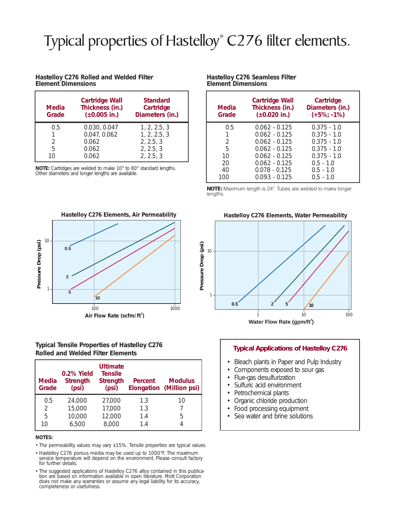# Typical properties of Hastelloy<sup>®</sup> C276 filter elements.

#### **Hastelloy C276 Rolled and Welded Filter Element Dimensions**

| <b>Media</b><br>Grade | <b>Cartridge Wall</b><br>Thickness (in.)<br>$(\pm 0.005)$ in.) | <b>Standard</b><br>Cartridge<br>Diameters (in.) |
|-----------------------|----------------------------------------------------------------|-------------------------------------------------|
| 0.5                   | 0.030, 0.047                                                   | 1, 2, 2.5, 3                                    |
|                       | 0.047, 0.062                                                   | 1, 2, 2.5, 3                                    |
| $\mathcal{D}$         | 0.062                                                          | 2, 2.5, 3                                       |
| 5                     | 0.062                                                          | 2, 2.5, 3                                       |
| 10                    | 0.062                                                          | 2, 2.5, 3                                       |

**NOTE:** Cartridges are welded to make 10" to 80" standard lengths. Other diameters and longer lengths are available.

# **Hastelloy C276 Elements, Air Permeability** 10 Pressure Drop (psi) **Pressure Drop (psi) 0.5 2** 1 **5 10** 100 1000 **Air Flow Rate (scfm/ft<sup>2</sup> )**

#### **Typical Tensile Properties of Hastelloy C276 Rolled and Welded Filter Elements**

| <b>Media</b><br>Grade | 0.2% Yield<br><b>Strength</b><br>(psi) | <b>Ultimate</b><br><b>Tensile</b><br><b>Strength</b><br>(psi) | <b>Percent</b>           | <b>Modulus</b><br><b>Elongation (Million psi)</b> |
|-----------------------|----------------------------------------|---------------------------------------------------------------|--------------------------|---------------------------------------------------|
| 0.5<br>2<br>5<br>10   | 24,000<br>15,000<br>10,000<br>6,500    | 27,000<br>17,000<br>12,000<br>8,000                           | 1.3<br>1.3<br>1.4<br>1.4 | 10<br>5                                           |

#### **NOTES:**

• The permeability values may vary ±15%. Tensile properties are typical values.

- Hastelloy C276 porous media may be used up to 1000°F. The maximum service temperature will depend on the environment. Please consult factory for further details.
- The suggested applications of Hastelloy C276 alloy contained in this publication are based on information available in open literature. Mott Corporation does not make any warranties or assume any legal liability for its accuracy, completeness or usefulness.

| <b>Media</b><br>Grade | <b>Cartridge Wall</b><br>Thickness (in.)<br>$(\pm 0.020)$ in.) | Cartridge<br>Diameters (in.)<br>$(+5\%; -1\%)$ |
|-----------------------|----------------------------------------------------------------|------------------------------------------------|
| 0.5                   | $0.062 - 0.125$                                                | $0.375 - 1.0$                                  |
| $\mathbf{1}$          | $0.062 - 0.125$                                                | $0.375 - 1.0$                                  |
| 2                     | $0.062 - 0.125$                                                | $0.375 - 1.0$                                  |
| 5                     | $0.062 - 0.125$                                                | $0.375 - 1.0$                                  |
| 10                    | $0.062 - 0.125$                                                | $0.375 - 1.0$                                  |
| 20                    | $0.062 - 0.125$                                                | $0.5 - 1.0$                                    |
| 40                    | $0.078 - 0.125$                                                | $0.5 - 1.0$                                    |
| 100                   | $0.093 - 0.125$                                                | $0.5 - 1.0$                                    |

**Hastelloy C276 Seamless Filter** 

**Element Dimensions**

**NOTE:** Maximum length is 24". Tubes are welded to make longer lengths.

#### **Hastelloy C276 Elements, Water Permeability**



#### **Typical Applications of Hastelloy C276**

- Bleach plants in Paper and Pulp Industry
- Components exposed to sour gas
- Flue-gas desulfurization
- Sulfuric acid environment
- Petrochemical plants
- Organic chloride production
- Food processing equipment
- Sea water and brine solutions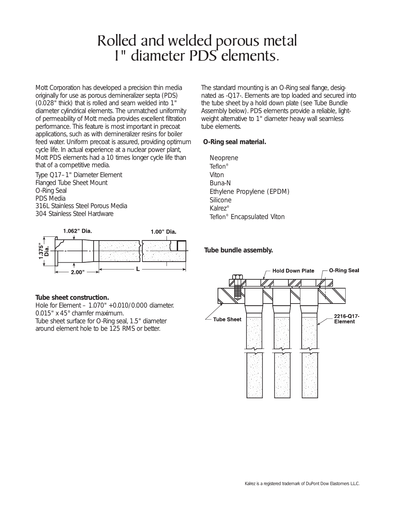# Rolled and welded porous metal 1" diameter PDS elements.

Mott Corporation has developed a precision thin media originally for use as porous demineralizer septa (PDS) (0.028" thick) that is rolled and seam welded into 1" diameter cylindrical elements. The unmatched *uniformity of permeability* of Mott media provides excellent filtration performance. This feature is most important in precoat applications, such as with demineralizer resins for boiler feed water. Uniform precoat is assured, providing optimum cycle life. In actual experience at a nuclear power plant, Mott PDS elements had a 10 times longer cycle life than that of a competitive media.

Type Q17–1" Diameter Element Flanged Tube Sheet Mount O-Ring Seal PDS Media 316L Stainless Steel Porous Media 304 Stainless Steel Hardware



#### **Tube sheet construction.**

Hole for Element – 1.070" +0.010/0.000 diameter. 0.015" x 45° chamfer maximum. Tube sheet surface for O-Ring seal, 1.5" diameter around element hole to be 125 RMS or better.

The standard mounting is an O-Ring seal flange, designated as -Q17-. Elements are top loaded and secured into the tube sheet by a hold down plate (see Tube Bundle Assembly below). PDS elements provide a reliable, lightweight alternative to 1" diameter heavy wall seamless tube elements.

## **O-Ring seal material.**

Neoprene *Teflon*® Viton Buna-N Ethylene Propylene (EPDM) Silicone Kalrez® *Teflon*® Encapsulated Viton

## **Tube bundle assembly.**

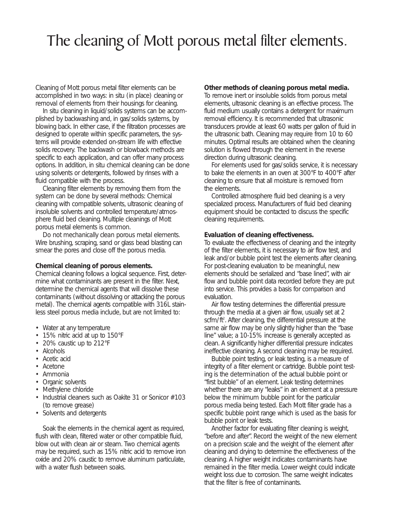# The cleaning of Mott porous metal filter elements.

Cleaning of Mott porous metal filter elements can be accomplished in two ways: *in situ* (in place) cleaning or *removal* of elements from their housings for cleaning.

*In situ* cleaning in liquid/solids systems can be accomplished by backwashing and, in gas/solids systems, by blowing back. In either case, if the filtration processes are designed to operate within specific parameters, the systems will provide extended on-stream life with effective solids recovery. The backwash or blowback methods are specific to each application, and can offer many process options. In addition, *in situ* chemical cleaning can be done using solvents or detergents, followed by rinses with a fluid compatible with the process.

Cleaning filter elements by removing them from the system can be done by several methods: Chemical cleaning with compatible solvents, ultrasonic cleaning of insoluble solvents and controlled temperature/atmosphere fluid bed cleaning. Multiple cleanings of Mott porous metal elements is common.

*Do not mechanically clean porous metal elements.* Wire brushing, scraping, sand or glass bead blasting can smear the pores and close off the porous media.

#### **Chemical cleaning of porous elements.**

Chemical cleaning follows a logical sequence. First, determine what contaminants are present in the filter. Next, determine the chemical agents that will dissolve these contaminants (without dissolving or attacking the porous metal). The chemical agents compatible with 316L stainless steel porous media include, but are not limited to:

- Water at any temperature
- 15% nitric acid at up to 150°F
- 20% caustic up to 212°F
- Alcohols
- Acetic acid
- Acetone
- Ammonia
- Organic solvents
- Methylene chloride
- Industrial cleaners such as Oakite 31 or Sonicor #103 (to remove grease)
- Solvents and detergents

Soak the elements in the chemical agent as required, flush with clean, filtered water or other compatible fluid, blow out with clean air or steam. Two chemical agents may be required, such as 15% nitric acid to remove iron oxide and 20% caustic to remove aluminum particulate, with a water flush between soaks.

#### **Other methods of cleaning porous metal media.**

To remove inert or insoluble solids from porous metal elements, ultrasonic cleaning is an effective process. The fluid medium usually contains a detergent for maximum removal efficiency. It is recommended that ultrasonic transducers provide at least 60 watts per gallon of fluid in the ultrasonic bath. Cleaning may require from 10 to 60 minutes. Optimal results are obtained when the cleaning solution is flowed through the element in the reverse direction during ultrasonic cleaning.

For elements used for gas/solids service, it is necessary to bake the elements in an oven at 300°F to 400°F after cleaning to ensure that all moisture is removed from the elements.

Controlled atmosphere fluid bed cleaning is a very specialized process. Manufacturers of fluid bed cleaning equipment should be contacted to discuss the specific cleaning requirements.

#### **Evaluation of cleaning effectiveness.**

To evaluate the effectiveness of cleaning and the integrity of the filter elements, it is necessary to air flow test, and leak and/or bubble point test the elements after cleaning. For post-cleaning evaluation to be meaningful, new elements should be serialized and "base lined", with air flow and bubble point data recorded before they are put into service. This provides a basis for comparison and evaluation.

Air flow testing determines the differential pressure through the media at a given air flow, usually set at 2 scfm/ft<sup>2</sup>. After cleaning, the differential pressure at the same air flow may be only slightly higher than the "base line" value; a 10-15% increase is generally accepted as clean. A significantly higher differential pressure indicates ineffective cleaning. A second cleaning may be required.

Bubble point testing, or leak testing, is a measure of integrity of a filter element or cartridge. Bubble point testing is the determination of the actual bubble point or "first bubble" of an element. Leak testing determines whether there are any "leaks" in an element at a pressure below the minimum bubble point for the particular porous media being tested. Each Mott filter grade has a specific bubble point range which is used as the basis for bubble point or leak tests.

Another factor for evaluating filter cleaning is weight, "before and after". Record the weight of the new element on a precision scale and the weight of the element after cleaning and drying to determine the effectiveness of the cleaning. A higher weight indicates contaminants have remained in the filter media. Lower weight could indicate weight loss due to corrosion. The same weight indicates that the filter is free of contaminants.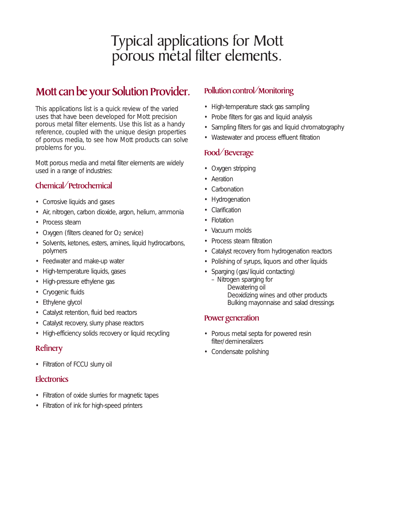# Typical applications for Mott porous metal filter elements.

# Mott can be your Solution Provider.

This applications list is a quick review of the varied uses that have been developed for Mott precision porous metal filter elements. Use this list as a handy reference, coupled with the unique design properties of porous media, to see how Mott products can solve problems for you.

Mott porous media and metal filter elements are widely used in a range of industries:

# Chemical/Petrochemical

- Corrosive liquids and gases
- Air, nitrogen, carbon dioxide, argon, helium, ammonia
- Process steam
- Oxygen (filters cleaned for  $O<sub>2</sub>$  service)
- Solvents, ketones, esters, amines, liquid hydrocarbons, polymers
- Feedwater and make-up water
- High-temperature liquids, gases
- High-pressure ethylene gas
- Cryogenic fluids
- Ethylene glycol
- Catalyst retention, fluid bed reactors
- Catalyst recovery, slurry phase reactors
- High-efficiency solids recovery or liquid recycling

# **Refinery**

• Filtration of FCCU slurry oil

# **Electronics**

- Filtration of oxide slurries for magnetic tapes
- Filtration of ink for high-speed printers

# Pollution control/Monitoring

- High-temperature stack gas sampling
- Probe filters for gas and liquid analysis
- Sampling filters for gas and liquid chromatography
- Wastewater and process effluent filtration

# Food/Beverage

- Oxygen stripping
- Aeration
- **Carbonation**
- **Hydrogenation**
- **Clarification**
- Flotation
- Vacuum molds
- Process steam filtration
- Catalyst recovery from hydrogenation reactors
- Polishing of syrups, liquors and other liquids
- Sparging (gas/liquid contacting)
	- Nitrogen sparging for Dewatering oil Deoxidizing wines and other products Bulking mayonnaise and salad dressings

# Power generation

- Porous metal septa for powered resin filter/demineralizers
- Condensate polishing